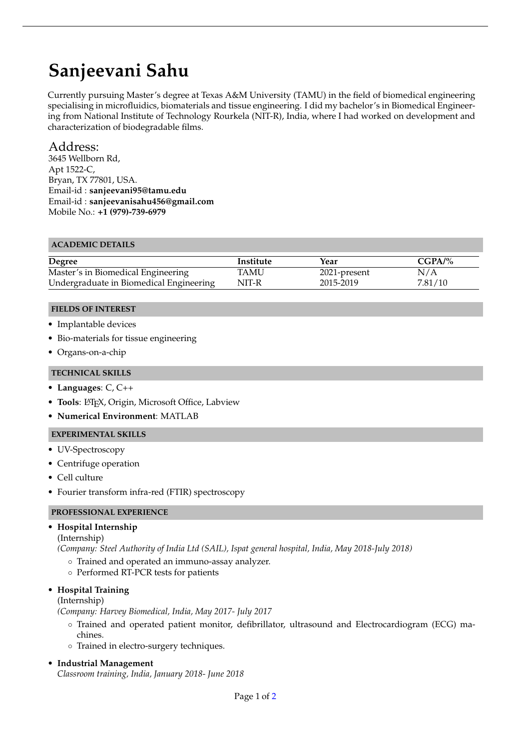# **Sanjeevani Sahu**

Currently pursuing Master's degree at Texas A&M University (TAMU) in the field of biomedical engineering specialising in microfluidics, biomaterials and tissue engineering. I did my bachelor's in Biomedical Engineering from National Institute of Technology Rourkela (NIT-R), India, where I had worked on development and characterization of biodegradable films.

# Address:

3645 Wellborn Rd, Apt 1522-C, Bryan, TX 77801, USA. Email-id : **sanjeevani95@tamu.edu** Email-id : **sanjeevanisahu456@gmail.com** Mobile No.: **+1 (979)-739-6979**

## **ACADEMIC DETAILS**

| Degree                                  | Institute   | Year         | $CGPA/\%$ |
|-----------------------------------------|-------------|--------------|-----------|
| Master's in Biomedical Engineering      | <b>TAMU</b> | 2021-present | N/A       |
| Undergraduate in Biomedical Engineering | NIT-R       | 2015-2019    | 7.81/10   |

## **FIELDS OF INTEREST**

- Implantable devices
- Bio-materials for tissue engineering
- Organs-on-a-chip

## **TECHNICAL SKILLS**

- **Languages**: C, C++
- **Tools**: LATEX, Origin, Microsoft Office, Labview
- **Numerical Environment**: MATLAB

## **EXPERIMENTAL SKILLS**

- UV-Spectroscopy
- Centrifuge operation
- Cell culture
- Fourier transform infra-red (FTIR) spectroscopy

## **PROFESSIONAL EXPERIENCE**

## • **Hospital Internship**

(Internship)

*(Company: Steel Authority of India Ltd (SAIL), Ispat general hospital, India, May 2018-July 2018)*

- Trained and operated an immuno-assay analyzer.
- Performed RT-PCR tests for patients

## • **Hospital Training**

(Internship)

*(Company: Harvey Biomedical, India, May 2017- July 2017*

- Trained and operated patient monitor, defibrillator, ultrasound and Electrocardiogram (ECG) machines.
- Trained in electro-surgery techniques.

• **Industrial Management**

*Classroom training, India, January 2018- June 2018*